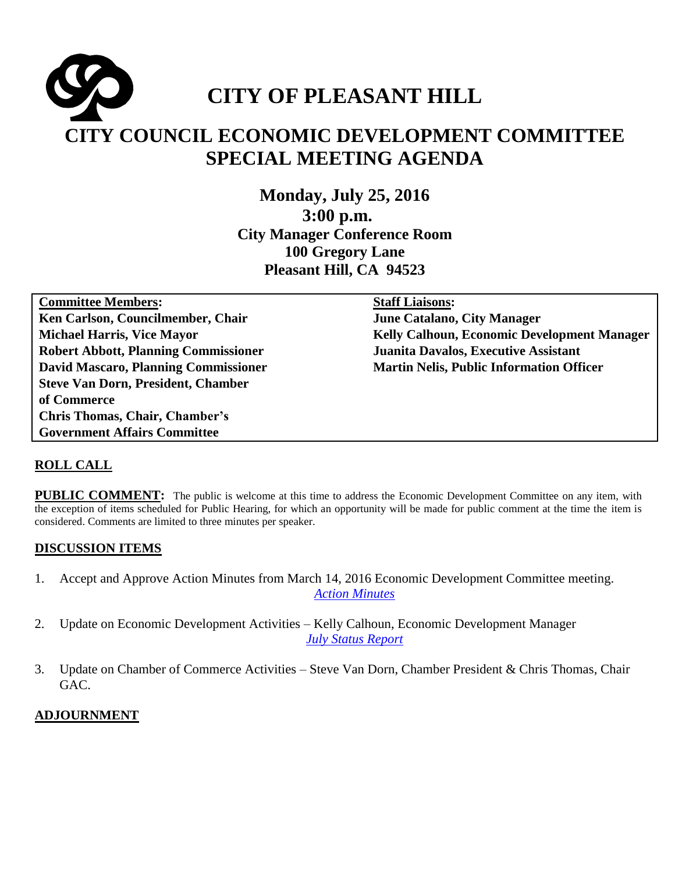# **CITY OF PLEASANT HILL CITY COUNCIL ECONOMIC DEVELOPMENT COMMITTEE SPECIAL MEETING AGENDA**

**Monday, July 25, 2016 3:00 p.m. City Manager Conference Room 100 Gregory Lane Pleasant Hill, CA 94523**

**Committee Members: Ken Carlson, Councilmember, Chair Michael Harris, Vice Mayor Robert Abbott, Planning Commissioner David Mascaro, Planning Commissioner Steve Van Dorn, President, Chamber of Commerce Chris Thomas, Chair, Chamber's Government Affairs Committee** 

## **Staff Liaisons:**

**June Catalano, City Manager Kelly Calhoun, Economic Development Manager Juanita Davalos, Executive Assistant Martin Nelis, Public Information Officer**

## **ROLL CALL**

**PUBLIC COMMENT:** The public is welcome at this time to address the Economic Development Committee on any item, with the exception of items scheduled for Public Hearing, for which an opportunity will be made for public comment at the time the item is considered. Comments are limited to three minutes per speaker.

## **DISCUSSION ITEMS**

- 1. Accept and Approve Action Minutes from March 14, 2016 Economic Development Committee meeting. *[Action Minutes](http://www.ci.pleasant-hill.ca.us/DocumentCenter/View/15918)*
- 2. Update on Economic Development Activities Kelly Calhoun, Economic Development Manager *[July Status Report](http://www.ci.pleasant-hill.ca.us/DocumentCenter/View/15919)*
- 3. Update on Chamber of Commerce Activities Steve Van Dorn, Chamber President & Chris Thomas, Chair GAC.

## **ADJOURNMENT**